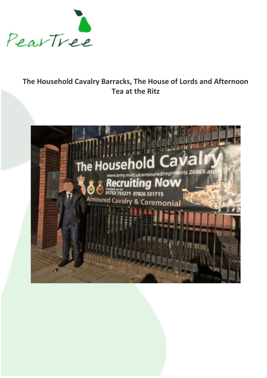

## **The Household Cavalry Barracks, The House of Lords and Afternoon Tea at the Ritz**

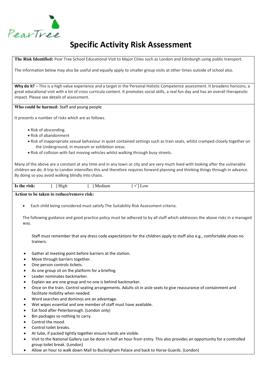

# **Specific Activity Risk Assessment**

**The Risk Identified:** Pear Tree School Educational Visit to Major Cities such as London and Edinburgh using public transport.

The information below may also be useful and equally apply to smaller group visits at other times outside of school also.

Why do it? – This is a high value experience and a target in the Personal Holistic Competence assessment. It broadens horizons, a great educational visit with a lot of cross curricula content. It promotes social skills, a real fun day and has an overall therapeutic impact. Please see details of assessment.

#### **Who could be harmed:** Staff and young people

It presents a number of risks which are as follows.

- Risk of absconding.
- Risk of abandonment
- Risk of inappropriate sexual behaviour in quiet contained settings such as train seats, whilst cramped closely together on the Underground, in museum or exhibition areas.
- Risk of collision with fast moving vehicles whilst walking through busy streets.

Many of the above are a constant at any time and in any town or city and are very much lived with looking after the vulnerable children we do. A trip to London intensifies this and therefore requires forward planning and thinking things through in advance. By doing so you avoid walking blindly into chaos.

| Is the risk: | High | Medium | Low |  |
|--------------|------|--------|-----|--|

**Action to be taken to reduce/remove risk:**

• Each child being considered must satisfy The Suitability Risk Assessment criteria.

The following guidance and good practice policy must be adhered to by all staff which addresses the above risks in a managed way.

Staff must remember that any dress code expectations for the children apply to staff also e.g., comfortable shoes no trainers.

- Gather at meeting point before barriers at the station.
- Move through barriers together.
- One person controls tickets.
- As one group sit on the platform for a briefing.
- Leader nominates backmarker.
- Explain we are one group and no one is behind backmarker.
- Once on the train. Control seating arrangements. Adults sit in aisle seats to give reassurance of containment and facilitate mobility when needed.
- Word searches and dominos are an advantage.
- Wet wipes essential and one member of staff must have available.
- Eat food after Peterborough. (London only)
- Bin packages so nothing to carry.
- Control the mood.
- Control toilet breaks.
- At tube, if packed tightly together ensure hands are visible.
- Visit to the National Gallery can be done in half an hour from entry. This also provides an opportunity for a controlled group toilet break. (London)
- Allow an hour to walk down Mall to Buckingham Palace and back to Horse Guards. (London)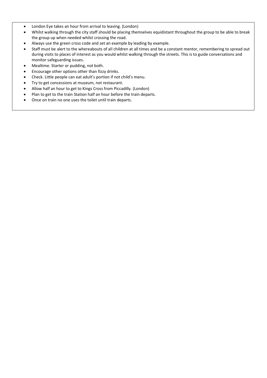- London Eye takes an hour from arrival to leaving. (London)
- Whilst walking through the city staff should be placing themselves equidistant throughout the group to be able to break the group up when needed whilst crossing the road.
- Always use the green cross code and set an example by leading by example.
- Staff must be alert to the whereabouts of all children at all times and be a constant mentor, remembering to spread out during visits to places of interest as you would whilst walking through the streets. This is to guide conversations and monitor safeguarding issues.
- Mealtime. Starter or pudding, not both.
- Encourage other options other than fizzy drinks.
- Check. Little people can eat adult's portion if not child's menu.
- Try to get concessions at museum, not restaurant.
- Allow half an hour to get to Kings Cross from Piccadilly. (London)
- Plan to get to the train Station half an hour before the train departs.
- Once on train no one uses the toilet until train departs.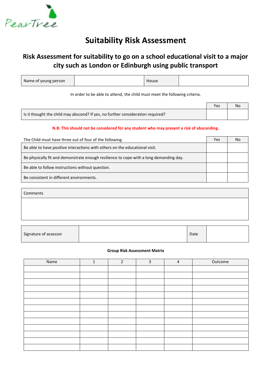

## **Suitability Risk Assessment**

### **Risk Assessment for suitability to go on a school educational visit to a major city such as London or Edinburgh using public transport**

| Name of young person | House |  |
|----------------------|-------|--|
|                      |       |  |

In order to be able to attend, the child must meet the following criteria.

|                                                                                 | Yes | No |
|---------------------------------------------------------------------------------|-----|----|
| Is it thought the child may abscond? If yes, no further consideration required? |     |    |

#### **N.B: This should not be considered for any student who may present a risk of absconding.**

| The Child must have three out of four of the following.                                | Yes | NΟ |
|----------------------------------------------------------------------------------------|-----|----|
| Be able to have positive interactions with others on the educational visit.            |     |    |
| Be physically fit and demonstrate enough resilience to cope with a long demanding day. |     |    |
| Be able to follow instructions without question.                                       |     |    |
| Be consistent in different environments.                                               |     |    |

Comments

| Signature of assessor |  | Date |  |
|-----------------------|--|------|--|
|-----------------------|--|------|--|

#### **Group Risk Assessment Matrix**

| Name | $\mathbf{1}$ | $\overline{2}$ | 3 | $\overline{a}$ | Outcome |
|------|--------------|----------------|---|----------------|---------|
|      |              |                |   |                |         |
|      |              |                |   |                |         |
|      |              |                |   |                |         |
|      |              |                |   |                |         |
|      |              |                |   |                |         |
|      |              |                |   |                |         |
|      |              |                |   |                |         |
|      |              |                |   |                |         |
|      |              |                |   |                |         |
|      |              |                |   |                |         |
|      |              |                |   |                |         |
|      |              |                |   |                |         |
|      |              |                |   |                |         |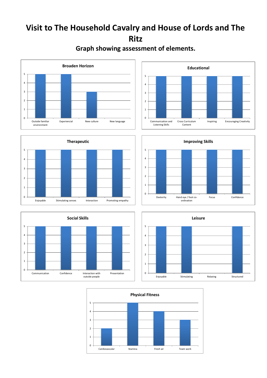# **Visit to The Household Cavalry and House of Lords and The Ritz**



### **Graph showing assessment of elements.**











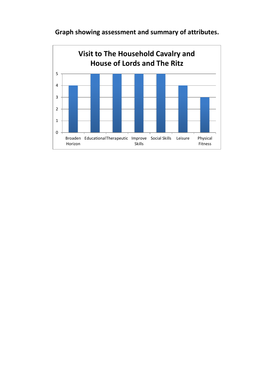

**Graph showing assessment and summary of attributes.**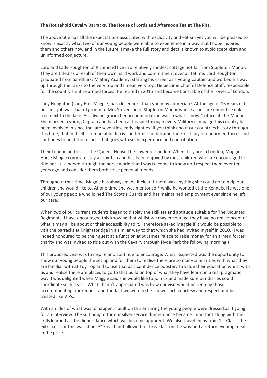#### **The Household Cavalry Barracks, The House of Lords and Afternoon Tea at The Ritz.**

The above title has all the expectations associated with exclusivity and elitism yet you will be pleased to know is exactly what two of our young people were able to experience in a way that I hope inspires them and others now and in the future. I make the full story and details known to avoid scepticism and uninformed conjecture.

Lord and Lady Houghton of Richmond live in a relatively modest cottage not far from Stapleton Manor. They are titled as a result of their own hard work and commitment over a lifetime. Lord Houghton graduated from Sandhurst Military Academy, starting his career as a young Captain and worked his way up through the ranks to the very top and I mean very top. He became Chief of Defence Staff, responsible for the country's entire armed forces. He retired in 2016 and became Constable of the Tower of London.

Lady Houghton (Lady H or Maggie) has closer links than you may appreciate. At the age of 16 years old her first job was that of groom to Mrs Stevenson of Stapleton Manor whose ashes are under the oak tree next to the lake. As a live in groom her accommodation was in what is now \* office at The Manor. She married a young Captain and has been at his side through every Military campaign this country has been involved in since the late seventies, early eighties. If you think about our countries history through this time, that in itself is remarkable. In civilian terms she became the First Lady of our armed forces and continues to hold the respect that goes with such experience and contribution.

Their London address is The Queens House The Tower of London. When they are in London, Maggie's Horse Mingle comes to stay at Toy Top and has been enjoyed by most children who are encouraged to ride her. It is indeed through the horse world that I was to come to know and respect them over ten years ago and consider them both close personal friends.

Throughout that time, Maggie has always made it clear if there was anything she could do to help our children she would like to. At one time she was mentor to \* while he worked at the Kennels. He was one of our young people who joined The Scott's Guards and has maintained employment ever since he left our care.

When two of our current students began to display the skill set and aptitude suitable for The Mounted Regiments, I have encouraged this knowing that whilst we may encourage they have no real concept of what it may all be about or their accessibility to it. I therefore asked Maggie if it would be possible to visit the barracks at Knightsbridge in a similar way to that which she had invited myself in 2010. (I was indeed honoured to be their guest at a function at St James Palace to raise money for an armed forces charity and was invited to ride out with the Cavalry through Hyde Park the following morning.)

This proposed visit was to inspire and continue to encourage. What I expected was the opportunity to show our young people the set up and for them to realise there are so many similarities with what they are familiar with at Toy Top and to use that as a confidence booster. To value their education whilst with us and realise there are places to go to that build on top of what they have learnt in a real pragmatic way. I was delighted when Maggie said she would like to join us and made sure our diaries could coordinate such a visit. What I hadn't appreciated was how our visit would be seen by those accommodating our request and the fact we were to be shown such courtesy and respect and be treated like VIPs.

With an idea of what was to happen, I built on this ensuring the young people were dressed as if going for an interview. The suit bought for our silver service dinner dance became important along with the skills learned at the dinner dance which will become apparent. We also travelled by train 1st Class. The extra cost for this was about £15 each but allowed for breakfast on the way and a return evening meal in the price.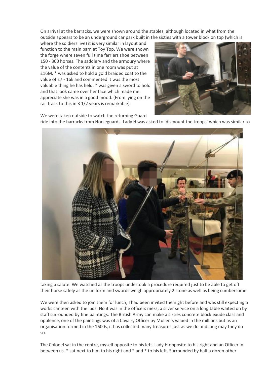On arrival at the barracks, we were shown around the stables, although located in what from the outside appears to be an underground car park built in the sixties with a tower block on top (which is

where the soldiers live) it is very similar in layout and function to the main barn at Toy Top. We were shown the forge where seven full time farriers shoe between 150 - 300 horses. The saddlery and the armoury where the value of the contents in one room was put at £16M. \* was asked to hold a gold braided coat to the value of £7 - 16k and commented it was the most valuable thing he has held. \* was given a sword to hold and that look came over her face which made me appreciate she was in a good mood. (From lying on the rail track to this in 3 1/2 years is remarkable).



We were taken outside to watch the returning Guard ride into the barracks from Horseguards. Lady H was asked to 'dismount the troops' which was similar to



taking a salute. We watched as the troops undertook a procedure required just to be able to get off their horse safely as the uniform and swords weigh appropriately 2 stone as well as being cumbersome.

We were then asked to join them for lunch, I had been invited the night before and was still expecting a works canteen with the lads. No it was in the officers mess, a silver service on a long table waited on by staff surrounded by fine paintings. The British Army can make a sixties concrete block exude class and opulence, one of the paintings was of a Cavalry Officer by Mullen's valued in the millions but as an organisation formed in the 1600s, it has collected many treasures just as we do and long may they do so.

The Colonel sat in the centre, myself opposite to his left. Lady H opposite to his right and an Officer in between us. \* sat next to him to his right and \* and \* to his left. Surrounded by half a dozen other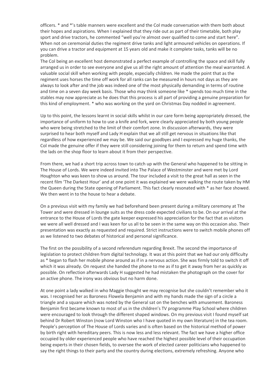officers. \* and \*'s table manners were excellent and the Col made conversation with them both about their hopes and aspirations. When I explained that they ride out as part of their timetable, both play sport and drive tractors, he commented "well you're almost over qualified to come and start here". When not on ceremonial duties the regiment drive tanks and light armoured vehicles on operations. If you can drive a tractor and equipment at 15 years old and make it complete tasks, tanks will be no problem.

The Col being an excellent host demonstrated a perfect example of controlling the space and skill fully arranged us in order to see everyone and give us all the right amount of attention the meal warranted. A valuable social skill when working with people, especially children. He made the point that as the regiment uses horses the time off work for all ranks can be measured in hours not days as they are always to look after and the job was indeed one of the most physically demanding in terms of routine and time on a seven day week basis. Those who may think someone like \* spends too much time in the stables may now appreciate as he does that this process is all part of providing a genuine preparation for this kind of employment. \* who was working on the yard on Christmas Day nodded in agreement.

Up to this point, the lessons learnt in social skills whilst in our care form being appropriately dressed, the importance of uniform to how to use a knife and fork, were clearly appreciated by both young people who were being stretched to the limit of their comfort zone. In discussion afterwards, they were surprised to hear both myself and Lady H explain that we all still get nervous in situations like that regardless of how experienced we may be. We said our goodbyes and I expressed my huge thanks, the Col made the genuine offer if they were still considering joining for them to return and spend time with the lads on the shop floor to learn about it from their perspective.

From there, we had a short trip across town to catch up with the General who happened to be sitting in The House of Lords. We were indeed invited into The Palace of Westminster and were met by Lord Houghton who was keen to show us around. The tour included a visit to the great hall as seen in the recent film 'The Darkest Hour' and at one point it was explained we were walking the route taken by HM the Queen during the State opening of Parliament. This fact clearly resonated with \* as her face showed. We then went in to the house to hear a debate.

On a previous visit with my family we had beforehand been present during a military ceremony at The Tower and were dressed in lounge suits as the dress code expected civilians to be. On our arrival at the entrance to the House of Lords the gate keeper expressed his appreciation for the fact that as visitors we were all well dressed and I was keen for us all to be seen in the same way on this occasion also. Their presentation was exactly as requested and required. Strict instructions were to switch mobile phones off as we listened to two debates of historical and personal significance.

The first on the possibility of a second referendum regarding Brexit. The second the importance of legislation to protect children from digital technology. It was at this point that we had our only difficulty as \* began to flash her mobile phone around as if in a nervous action. She was firmly told to switch it off which it was already. On request she handed the phone to me as if to get it away from her as quickly as possible. On reflection afterwards Lady H suggested he had mistaken the photograph on the cover for an active phone. The irony was obvious but no harm done.

At one point a lady walked in who Maggie thought we may recognise but she couldn't remember who it was. I recognised her as Baroness Flowela Benjamin and with my hands made the sign of a circle a triangle and a square which was noted by the General sat on the benches with amusement. Baroness Benjamin first became known to most of us in the children's TV programme Play School where children were encouraged to look through the different shaped windows. On my previous visit I found myself sat behind Dr Robert Winston (now Lord Winston who I have quoted in my own literature) in the tea room. People's perception of The House of Lords varies and is often based on the historical method of power by birth right with hereditary peers. This is now less and less relevant. The fact we have a higher office occupied by older experienced people who have reached the highest possible level of their occupation being experts in their chosen fields, to oversee the work of elected career politicians who happened to say the right things to their party and the country during elections, extremely refreshing. Anyone who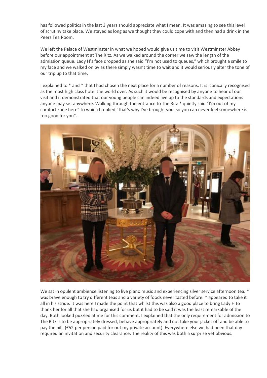has followed politics in the last 3 years should appreciate what I mean. It was amazing to see this level of scrutiny take place. We stayed as long as we thought they could cope with and then had a drink in the Peers Tea Room.

We left the Palace of Westminster in what we hoped would give us time to visit Westminster Abbey before our appointment at The Ritz. As we walked around the corner we saw the length of the admission queue. Lady H's face dropped as she said "I'm not used to queues," which brought a smile to my face and we walked on by as there simply wasn't time to wait and it would seriously alter the tone of our trip up to that time.

I explained to \* and \* that I had chosen the next place for a number of reasons. It is iconically recognised as the most high class hotel the world over. As such it would be recognised by anyone to hear of our visit and it demonstrated that our young people can indeed live up to the standards and expectations anyone may set anywhere. Walking through the entrance to The Ritz  $*$  quietly said "I'm out of my comfort zone here" to which I replied "that's why I've brought you, so you can never feel somewhere is too good for you".



We sat in opulent ambience listening to live piano music and experiencing silver service afternoon tea. \* was brave enough to try different teas and a variety of foods never tasted before. \* appeared to take it all in his stride. It was here I made the point that whilst this was also a good place to bring Lady H to thank her for all that she had organised for us but it had to be said it was the least remarkable of the day. Both looked puzzled at me for this comment. I explained that the only requirement for admission to The Ritz is to be appropriately dressed, behave appropriately and not take your jacket off and be able to pay the bill. (£52 per person paid for out my private account). Everywhere else we had been that day required an invitation and security clearance. The reality of this was both a surprise yet obvious.